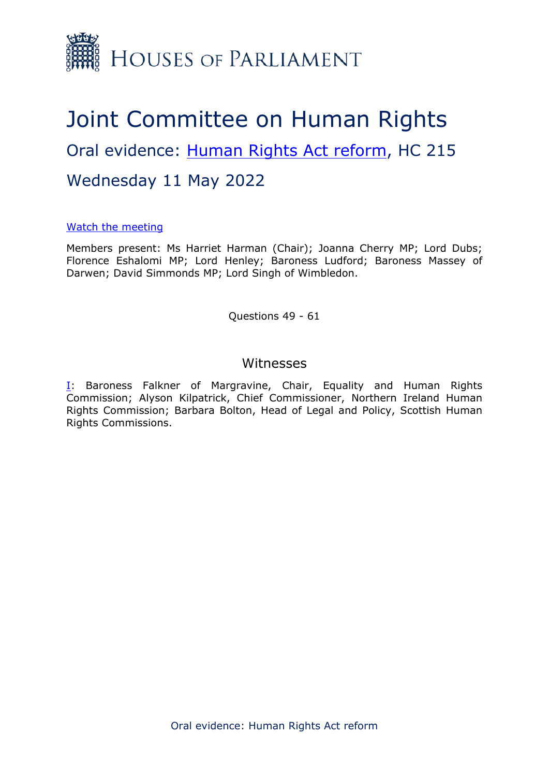

## Joint Committee on Human Rights Oral evidence: [Human](https://committees.parliament.uk/work/6404/human-rights-act-reform/) [Rights](https://committees.parliament.uk/work/6404/human-rights-act-reform/) [Act](https://committees.parliament.uk/work/6404/human-rights-act-reform/) [reform](https://committees.parliament.uk/work/6404/human-rights-act-reform/), HC 215 Wednesday 11 May 2022

## [Watch](https://parliamentlive.tv/Event/Index/f8f50233-aa04-4821-8290-e82b9e11876a) [the](https://parliamentlive.tv/Event/Index/f8f50233-aa04-4821-8290-e82b9e11876a) [meeting](https://parliamentlive.tv/Event/Index/f8f50233-aa04-4821-8290-e82b9e11876a)

Members present: Ms Harriet Harman (Chair); Joanna Cherry MP; Lord Dubs; Florence Eshalomi MP; Lord Henley; Baroness Ludford; Baroness Massey of Darwen; David Simmonds MP; Lord Singh of Wimbledon.

Questions 49 - 61

## Witnesses

**[I:](#page-1-0)** Baroness Falkner of Margravine, Chair, Equality and Human Rights Commission; Alyson Kilpatrick, Chief Commissioner, Northern Ireland Human Rights Commission; Barbara Bolton, Head of Legal and Policy, Scottish Human Rights Commissions.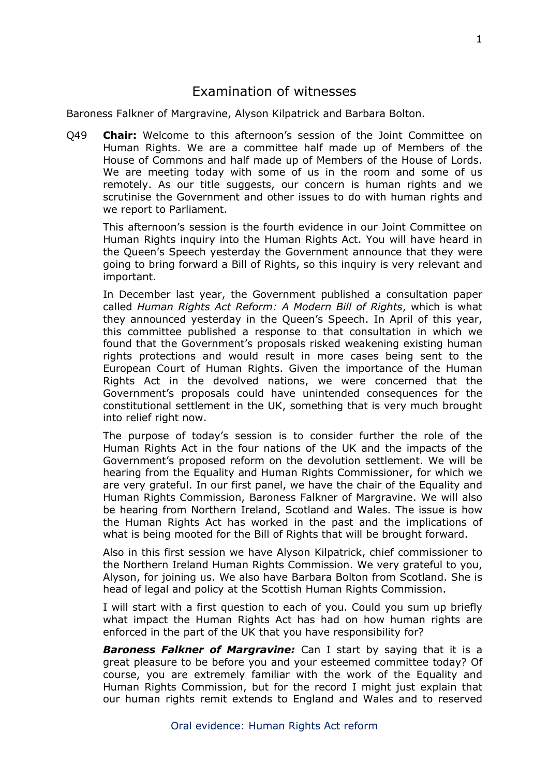## <span id="page-1-0"></span>Examination of witnesses

Baroness Falkner of Margravine, Alyson Kilpatrick and Barbara Bolton.

Q49 **Chair:** Welcome to this afternoon's session of the Joint Committee on Human Rights. We are a committee half made up of Members of the House of Commons and half made up of Members of the House of Lords. We are meeting today with some of us in the room and some of us remotely. As our title suggests, our concern is human rights and we scrutinise the Government and other issues to do with human rights and we report to Parliament.

This afternoon's session is the fourth evidence in our Joint Committee on Human Rights inquiry into the Human Rights Act. You will have heard in the Queen's Speech yesterday the Government announce that they were going to bring forward a Bill of Rights, so this inquiry is very relevant and important.

In December last year, the Government published a consultation paper called *Human Rights Act Reform: A Modern Bill of Rights*, which is what they announced yesterday in the Queen's Speech. In April of this year, this committee published a response to that consultation in which we found that the Government's proposals risked weakening existing human rights protections and would result in more cases being sent to the European Court of Human Rights. Given the importance of the Human Rights Act in the devolved nations, we were concerned that the Government's proposals could have unintended consequences for the constitutional settlement in the UK, something that is very much brought into relief right now.

The purpose of today's session is to consider further the role of the Human Rights Act in the four nations of the UK and the impacts of the Government's proposed reform on the devolution settlement. We will be hearing from the Equality and Human Rights Commissioner, for which we are very grateful. In our first panel, we have the chair of the Equality and Human Rights Commission, Baroness Falkner of Margravine. We will also be hearing from Northern Ireland, Scotland and Wales. The issue is how the Human Rights Act has worked in the past and the implications of what is being mooted for the Bill of Rights that will be brought forward.

Also in this first session we have Alyson Kilpatrick, chief commissioner to the Northern Ireland Human Rights Commission. We very grateful to you, Alyson, for joining us. We also have Barbara Bolton from Scotland. She is head of legal and policy at the Scottish Human Rights Commission.

I will start with a first question to each of you. Could you sum up briefly what impact the Human Rights Act has had on how human rights are enforced in the part of the UK that you have responsibility for?

*Baroness Falkner of Margravine:* Can I start by saying that it is a great pleasure to be before you and your esteemed committee today? Of course, you are extremely familiar with the work of the Equality and Human Rights Commission, but for the record I might just explain that our human rights remit extends to England and Wales and to reserved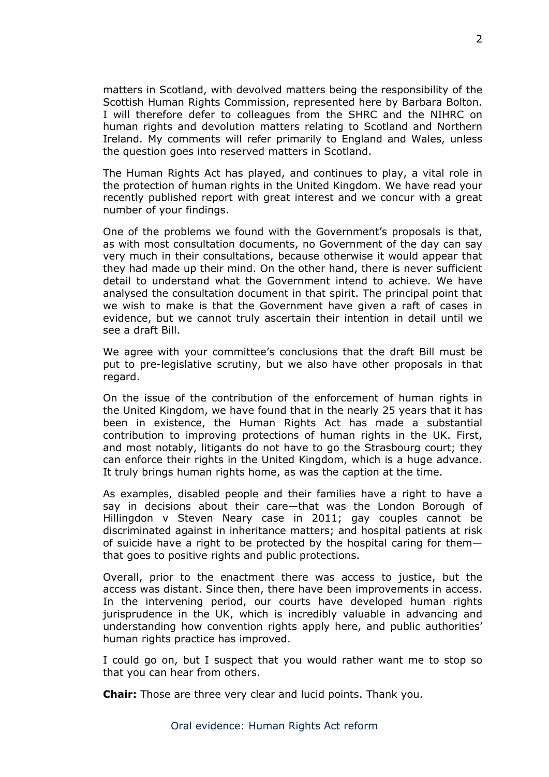matters in Scotland, with devolved matters being the responsibility of the Scottish Human Rights Commission, represented here by Barbara Bolton. I will therefore defer to colleagues from the SHRC and the NIHRC on human rights and devolution matters relating to Scotland and Northern Ireland. My comments will refer primarily to England and Wales, unless the question goes into reserved matters in Scotland.

The Human Rights Act has played, and continues to play, a vital role in the protection of human rights in the United Kingdom. We have read your recently published report with great interest and we concur with a great number of your findings.

One of the problems we found with the Government's proposals is that, as with most consultation documents, no Government of the day can say very much in their consultations, because otherwise it would appear that they had made up their mind. On the other hand, there is never sufficient detail to understand what the Government intend to achieve. We have analysed the consultation document in that spirit. The principal point that we wish to make is that the Government have given a raft of cases in evidence, but we cannot truly ascertain their intention in detail until we see a draft Bill.

We agree with your committee's conclusions that the draft Bill must be put to pre-legislative scrutiny, but we also have other proposals in that regard.

On the issue of the contribution of the enforcement of human rights in the United Kingdom, we have found that in the nearly 25 years that it has been in existence, the Human Rights Act has made a substantial contribution to improving protections of human rights in the UK. First, and most notably, litigants do not have to go the Strasbourg court; they can enforce their rights in the United Kingdom, which is a huge advance. It truly brings human rights home, as was the caption at the time.

As examples, disabled people and their families have a right to have a say in decisions about their care—that was the London Borough of Hillingdon v Steven Neary case in 2011; gay couples cannot be discriminated against in inheritance matters; and hospital patients at risk of suicide have a right to be protected by the hospital caring for them that goes to positive rights and public protections.

Overall, prior to the enactment there was access to justice, but the access was distant. Since then, there have been improvements in access. In the intervening period, our courts have developed human rights jurisprudence in the UK, which is incredibly valuable in advancing and understanding how convention rights apply here, and public authorities' human rights practice has improved.

I could go on, but I suspect that you would rather want me to stop so that you can hear from others.

**Chair:** Those are three very clear and lucid points. Thank you.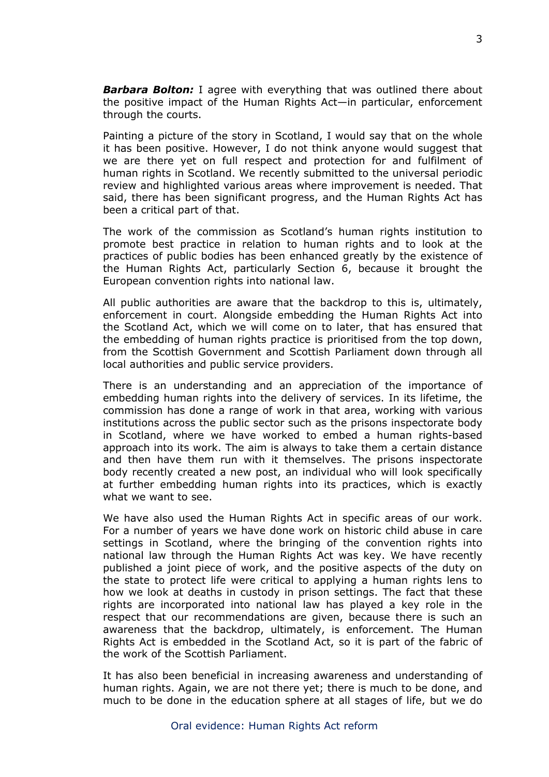*Barbara Bolton:* I agree with everything that was outlined there about the positive impact of the Human Rights Act—in particular, enforcement through the courts.

Painting a picture of the story in Scotland, I would say that on the whole it has been positive. However, I do not think anyone would suggest that we are there yet on full respect and protection for and fulfilment of human rights in Scotland. We recently submitted to the universal periodic review and highlighted various areas where improvement is needed. That said, there has been significant progress, and the Human Rights Act has been a critical part of that.

The work of the commission as Scotland's human rights institution to promote best practice in relation to human rights and to look at the practices of public bodies has been enhanced greatly by the existence of the Human Rights Act, particularly Section 6, because it brought the European convention rights into national law.

All public authorities are aware that the backdrop to this is, ultimately, enforcement in court. Alongside embedding the Human Rights Act into the Scotland Act, which we will come on to later, that has ensured that the embedding of human rights practice is prioritised from the top down, from the Scottish Government and Scottish Parliament down through all local authorities and public service providers.

There is an understanding and an appreciation of the importance of embedding human rights into the delivery of services. In its lifetime, the commission has done a range of work in that area, working with various institutions across the public sector such as the prisons inspectorate body in Scotland, where we have worked to embed a human rights-based approach into its work. The aim is always to take them a certain distance and then have them run with it themselves. The prisons inspectorate body recently created a new post, an individual who will look specifically at further embedding human rights into its practices, which is exactly what we want to see.

We have also used the Human Rights Act in specific areas of our work. For a number of years we have done work on historic child abuse in care settings in Scotland, where the bringing of the convention rights into national law through the Human Rights Act was key. We have recently published a joint piece of work, and the positive aspects of the duty on the state to protect life were critical to applying a human rights lens to how we look at deaths in custody in prison settings. The fact that these rights are incorporated into national law has played a key role in the respect that our recommendations are given, because there is such an awareness that the backdrop, ultimately, is enforcement. The Human Rights Act is embedded in the Scotland Act, so it is part of the fabric of the work of the Scottish Parliament.

It has also been beneficial in increasing awareness and understanding of human rights. Again, we are not there yet; there is much to be done, and much to be done in the education sphere at all stages of life, but we do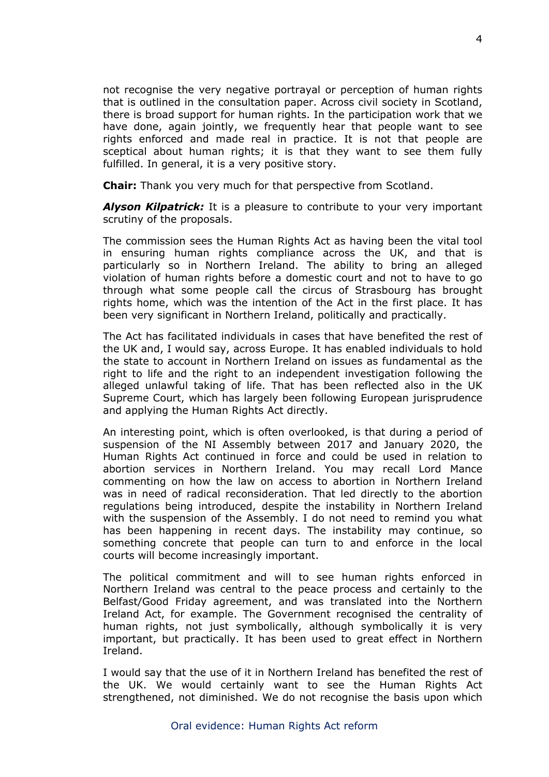not recognise the very negative portrayal or perception of human rights that is outlined in the consultation paper. Across civil society in Scotland, there is broad support for human rights. In the participation work that we have done, again jointly, we frequently hear that people want to see rights enforced and made real in practice. It is not that people are sceptical about human rights; it is that they want to see them fully fulfilled. In general, it is a very positive story.

**Chair:** Thank you very much for that perspective from Scotland.

*Alyson Kilpatrick:* It is a pleasure to contribute to your very important scrutiny of the proposals.

The commission sees the Human Rights Act as having been the vital tool in ensuring human rights compliance across the UK, and that is particularly so in Northern Ireland. The ability to bring an alleged violation of human rights before a domestic court and not to have to go through what some people call the circus of Strasbourg has brought rights home, which was the intention of the Act in the first place. It has been very significant in Northern Ireland, politically and practically.

The Act has facilitated individuals in cases that have benefited the rest of the UK and, I would say, across Europe. It has enabled individuals to hold the state to account in Northern Ireland on issues as fundamental as the right to life and the right to an independent investigation following the alleged unlawful taking of life. That has been reflected also in the UK Supreme Court, which has largely been following European jurisprudence and applying the Human Rights Act directly.

An interesting point, which is often overlooked, is that during a period of suspension of the NI Assembly between 2017 and January 2020, the Human Rights Act continued in force and could be used in relation to abortion services in Northern Ireland. You may recall Lord Mance commenting on how the law on access to abortion in Northern Ireland was in need of radical reconsideration. That led directly to the abortion regulations being introduced, despite the instability in Northern Ireland with the suspension of the Assembly. I do not need to remind you what has been happening in recent days. The instability may continue, so something concrete that people can turn to and enforce in the local courts will become increasingly important.

The political commitment and will to see human rights enforced in Northern Ireland was central to the peace process and certainly to the Belfast/Good Friday agreement, and was translated into the Northern Ireland Act, for example. The Government recognised the centrality of human rights, not just symbolically, although symbolically it is very important, but practically. It has been used to great effect in Northern Ireland.

I would say that the use of it in Northern Ireland has benefited the rest of the UK. We would certainly want to see the Human Rights Act strengthened, not diminished. We do not recognise the basis upon which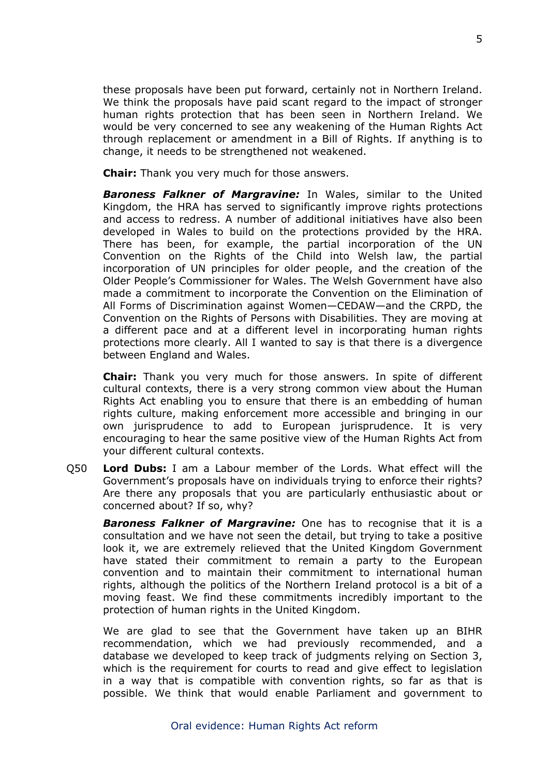these proposals have been put forward, certainly not in Northern Ireland. We think the proposals have paid scant regard to the impact of stronger human rights protection that has been seen in Northern Ireland. We would be very concerned to see any weakening of the Human Rights Act through replacement or amendment in a Bill of Rights. If anything is to change, it needs to be strengthened not weakened.

**Chair:** Thank you very much for those answers.

*Baroness Falkner of Margravine:* In Wales, similar to the United Kingdom, the HRA has served to significantly improve rights protections and access to redress. A number of additional initiatives have also been developed in Wales to build on the protections provided by the HRA. There has been, for example, the partial incorporation of the UN Convention on the Rights of the Child into Welsh law, the partial incorporation of UN principles for older people, and the creation of the Older People's Commissioner for Wales. The Welsh Government have also made a commitment to incorporate the Convention on the Elimination of All Forms of Discrimination against Women—CEDAW—and the CRPD, the Convention on the Rights of Persons with Disabilities. They are moving at a different pace and at a different level in incorporating human rights protections more clearly. All I wanted to say is that there is a divergence between England and Wales.

**Chair:** Thank you very much for those answers. In spite of different cultural contexts, there is a very strong common view about the Human Rights Act enabling you to ensure that there is an embedding of human rights culture, making enforcement more accessible and bringing in our own jurisprudence to add to European jurisprudence. It is very encouraging to hear the same positive view of the Human Rights Act from your different cultural contexts.

Q50 **Lord Dubs:** I am a Labour member of the Lords. What effect will the Government's proposals have on individuals trying to enforce their rights? Are there any proposals that you are particularly enthusiastic about or concerned about? If so, why?

*Baroness Falkner of Margravine:* One has to recognise that it is a consultation and we have not seen the detail, but trying to take a positive look it, we are extremely relieved that the United Kingdom Government have stated their commitment to remain a party to the European convention and to maintain their commitment to international human rights, although the politics of the Northern Ireland protocol is a bit of a moving feast. We find these commitments incredibly important to the protection of human rights in the United Kingdom.

We are glad to see that the Government have taken up an BIHR recommendation, which we had previously recommended, and a database we developed to keep track of judgments relying on Section 3, which is the requirement for courts to read and give effect to legislation in a way that is compatible with convention rights, so far as that is possible. We think that would enable Parliament and government to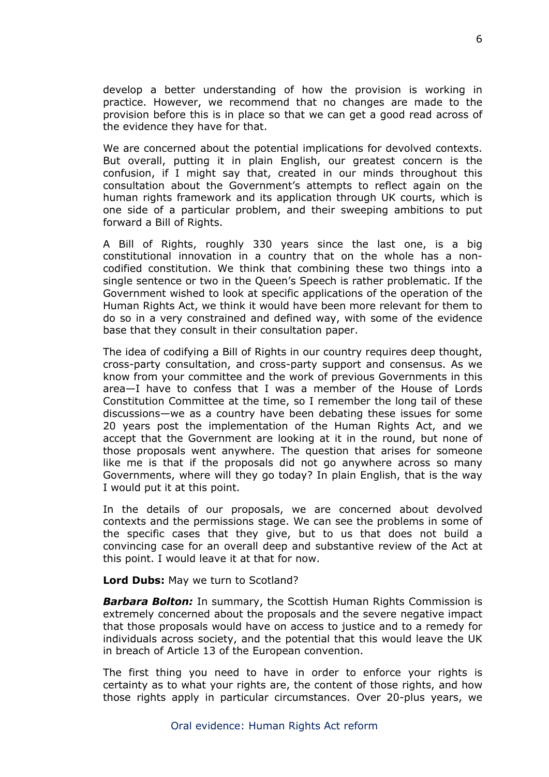develop a better understanding of how the provision is working in practice. However, we recommend that no changes are made to the provision before this is in place so that we can get a good read across of the evidence they have for that.

We are concerned about the potential implications for devolved contexts. But overall, putting it in plain English, our greatest concern is the confusion, if I might say that, created in our minds throughout this consultation about the Government's attempts to reflect again on the human rights framework and its application through UK courts, which is one side of a particular problem, and their sweeping ambitions to put forward a Bill of Rights.

A Bill of Rights, roughly 330 years since the last one, is a big constitutional innovation in a country that on the whole has a noncodified constitution. We think that combining these two things into a single sentence or two in the Queen's Speech is rather problematic. If the Government wished to look at specific applications of the operation of the Human Rights Act, we think it would have been more relevant for them to do so in a very constrained and defined way, with some of the evidence base that they consult in their consultation paper.

The idea of codifying a Bill of Rights in our country requires deep thought, cross-party consultation, and cross-party support and consensus. As we know from your committee and the work of previous Governments in this area—I have to confess that I was a member of the House of Lords Constitution Committee at the time, so I remember the long tail of these discussions—we as a country have been debating these issues for some 20 years post the implementation of the Human Rights Act, and we accept that the Government are looking at it in the round, but none of those proposals went anywhere. The question that arises for someone like me is that if the proposals did not go anywhere across so many Governments, where will they go today? In plain English, that is the way I would put it at this point.

In the details of our proposals, we are concerned about devolved contexts and the permissions stage. We can see the problems in some of the specific cases that they give, but to us that does not build a convincing case for an overall deep and substantive review of the Act at this point. I would leave it at that for now.

**Lord Dubs:** May we turn to Scotland?

*Barbara Bolton:* In summary, the Scottish Human Rights Commission is extremely concerned about the proposals and the severe negative impact that those proposals would have on access to justice and to a remedy for individuals across society, and the potential that this would leave the UK in breach of Article 13 of the European convention.

The first thing you need to have in order to enforce your rights is certainty as to what your rights are, the content of those rights, and how those rights apply in particular circumstances. Over 20-plus years, we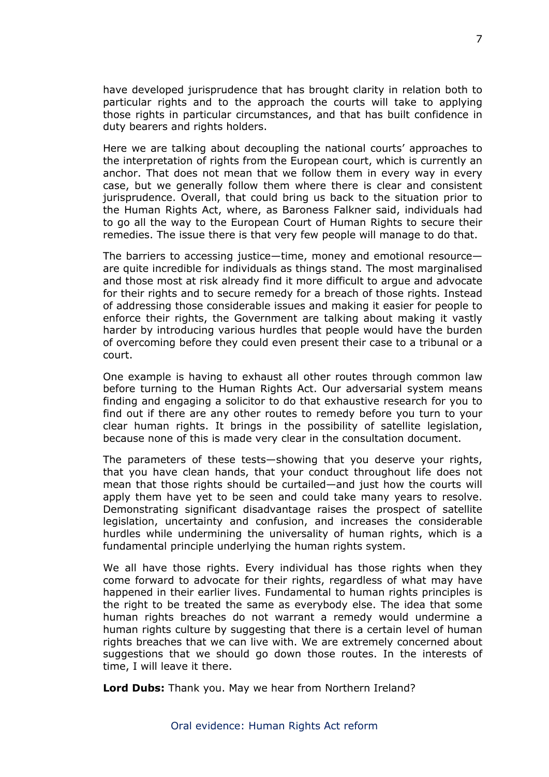have developed jurisprudence that has brought clarity in relation both to particular rights and to the approach the courts will take to applying those rights in particular circumstances, and that has built confidence in duty bearers and rights holders.

Here we are talking about decoupling the national courts' approaches to the interpretation of rights from the European court, which is currently an anchor. That does not mean that we follow them in every way in every case, but we generally follow them where there is clear and consistent jurisprudence. Overall, that could bring us back to the situation prior to the Human Rights Act, where, as Baroness Falkner said, individuals had to go all the way to the European Court of Human Rights to secure their remedies. The issue there is that very few people will manage to do that.

The barriers to accessing justice—time, money and emotional resource are quite incredible for individuals as things stand. The most marginalised and those most at risk already find it more difficult to argue and advocate for their rights and to secure remedy for a breach of those rights. Instead of addressing those considerable issues and making it easier for people to enforce their rights, the Government are talking about making it vastly harder by introducing various hurdles that people would have the burden of overcoming before they could even present their case to a tribunal or a court.

One example is having to exhaust all other routes through common law before turning to the Human Rights Act. Our adversarial system means finding and engaging a solicitor to do that exhaustive research for you to find out if there are any other routes to remedy before you turn to your clear human rights. It brings in the possibility of satellite legislation, because none of this is made very clear in the consultation document.

The parameters of these tests—showing that you deserve your rights, that you have clean hands, that your conduct throughout life does not mean that those rights should be curtailed—and just how the courts will apply them have yet to be seen and could take many years to resolve. Demonstrating significant disadvantage raises the prospect of satellite legislation, uncertainty and confusion, and increases the considerable hurdles while undermining the universality of human rights, which is a fundamental principle underlying the human rights system.

We all have those rights. Every individual has those rights when they come forward to advocate for their rights, regardless of what may have happened in their earlier lives. Fundamental to human rights principles is the right to be treated the same as everybody else. The idea that some human rights breaches do not warrant a remedy would undermine a human rights culture by suggesting that there is a certain level of human rights breaches that we can live with. We are extremely concerned about suggestions that we should go down those routes. In the interests of time, I will leave it there.

**Lord Dubs:** Thank you. May we hear from Northern Ireland?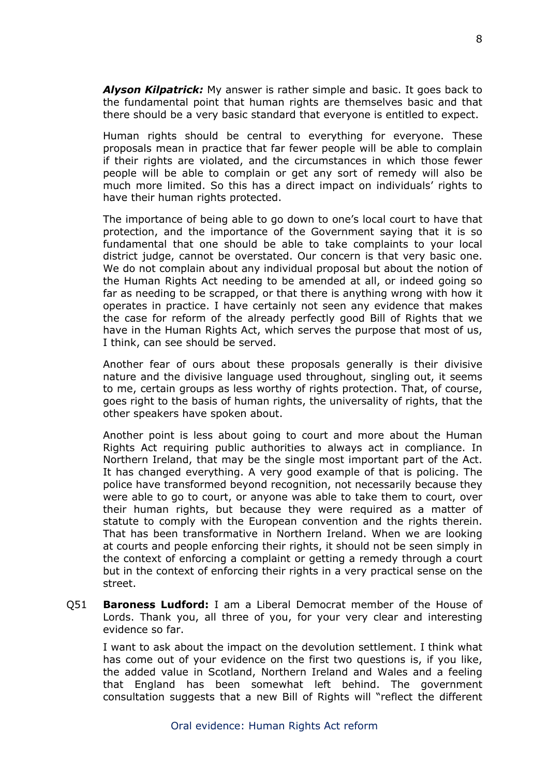*Alyson Kilpatrick:* My answer is rather simple and basic. It goes back to the fundamental point that human rights are themselves basic and that there should be a very basic standard that everyone is entitled to expect.

Human rights should be central to everything for everyone. These proposals mean in practice that far fewer people will be able to complain if their rights are violated, and the circumstances in which those fewer people will be able to complain or get any sort of remedy will also be much more limited. So this has a direct impact on individuals' rights to have their human rights protected.

The importance of being able to go down to one's local court to have that protection, and the importance of the Government saying that it is so fundamental that one should be able to take complaints to your local district judge, cannot be overstated. Our concern is that very basic one. We do not complain about any individual proposal but about the notion of the Human Rights Act needing to be amended at all, or indeed going so far as needing to be scrapped, or that there is anything wrong with how it operates in practice. I have certainly not seen any evidence that makes the case for reform of the already perfectly good Bill of Rights that we have in the Human Rights Act, which serves the purpose that most of us, I think, can see should be served.

Another fear of ours about these proposals generally is their divisive nature and the divisive language used throughout, singling out, it seems to me, certain groups as less worthy of rights protection. That, of course, goes right to the basis of human rights, the universality of rights, that the other speakers have spoken about.

Another point is less about going to court and more about the Human Rights Act requiring public authorities to always act in compliance. In Northern Ireland, that may be the single most important part of the Act. It has changed everything. A very good example of that is policing. The police have transformed beyond recognition, not necessarily because they were able to go to court, or anyone was able to take them to court, over their human rights, but because they were required as a matter of statute to comply with the European convention and the rights therein. That has been transformative in Northern Ireland. When we are looking at courts and people enforcing their rights, it should not be seen simply in the context of enforcing a complaint or getting a remedy through a court but in the context of enforcing their rights in a very practical sense on the street.

Q51 **Baroness Ludford:** I am a Liberal Democrat member of the House of Lords. Thank you, all three of you, for your very clear and interesting evidence so far.

I want to ask about the impact on the devolution settlement. I think what has come out of your evidence on the first two questions is, if you like, the added value in Scotland, Northern Ireland and Wales and a feeling that England has been somewhat left behind. The government consultation suggests that a new Bill of Rights will "reflect the different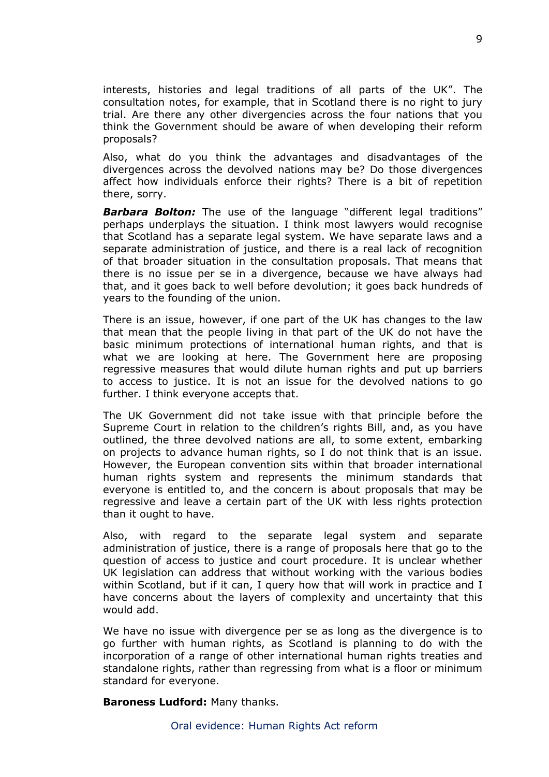interests, histories and legal traditions of all parts of the UK". The consultation notes, for example, that in Scotland there is no right to jury trial. Are there any other divergencies across the four nations that you think the Government should be aware of when developing their reform proposals?

Also, what do you think the advantages and disadvantages of the divergences across the devolved nations may be? Do those divergences affect how individuals enforce their rights? There is a bit of repetition there, sorry.

**Barbara Bolton:** The use of the language "different legal traditions" perhaps underplays the situation. I think most lawyers would recognise that Scotland has a separate legal system. We have separate laws and a separate administration of justice, and there is a real lack of recognition of that broader situation in the consultation proposals. That means that there is no issue per se in a divergence, because we have always had that, and it goes back to well before devolution; it goes back hundreds of years to the founding of the union.

There is an issue, however, if one part of the UK has changes to the law that mean that the people living in that part of the UK do not have the basic minimum protections of international human rights, and that is what we are looking at here. The Government here are proposing regressive measures that would dilute human rights and put up barriers to access to justice. It is not an issue for the devolved nations to go further. I think everyone accepts that.

The UK Government did not take issue with that principle before the Supreme Court in relation to the children's rights Bill, and, as you have outlined, the three devolved nations are all, to some extent, embarking on projects to advance human rights, so I do not think that is an issue. However, the European convention sits within that broader international human rights system and represents the minimum standards that everyone is entitled to, and the concern is about proposals that may be regressive and leave a certain part of the UK with less rights protection than it ought to have.

Also, with regard to the separate legal system and separate administration of justice, there is a range of proposals here that go to the question of access to justice and court procedure. It is unclear whether UK legislation can address that without working with the various bodies within Scotland, but if it can, I query how that will work in practice and I have concerns about the layers of complexity and uncertainty that this would add.

We have no issue with divergence per se as long as the divergence is to go further with human rights, as Scotland is planning to do with the incorporation of a range of other international human rights treaties and standalone rights, rather than regressing from what is a floor or minimum standard for everyone.

**Baroness Ludford:** Many thanks.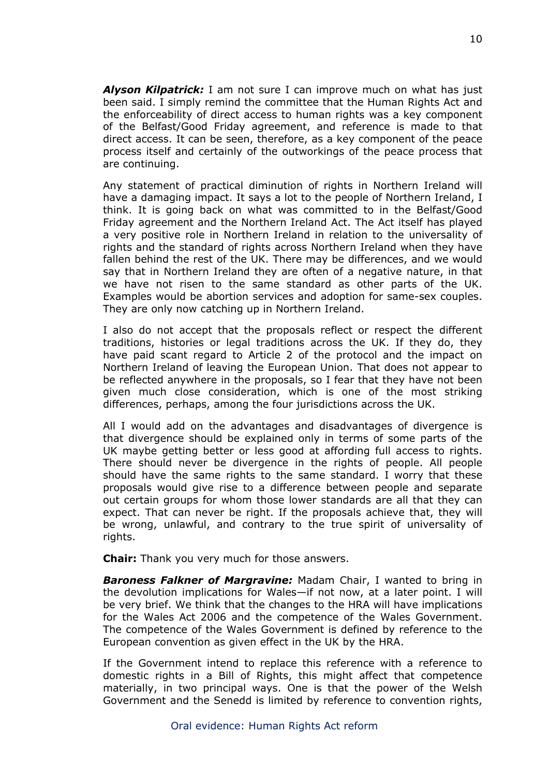*Alyson Kilpatrick:* I am not sure I can improve much on what has just been said. I simply remind the committee that the Human Rights Act and the enforceability of direct access to human rights was a key component of the Belfast/Good Friday agreement, and reference is made to that direct access. It can be seen, therefore, as a key component of the peace process itself and certainly of the outworkings of the peace process that are continuing.

Any statement of practical diminution of rights in Northern Ireland will have a damaging impact. It says a lot to the people of Northern Ireland, I think. It is going back on what was committed to in the Belfast/Good Friday agreement and the Northern Ireland Act. The Act itself has played a very positive role in Northern Ireland in relation to the universality of rights and the standard of rights across Northern Ireland when they have fallen behind the rest of the UK. There may be differences, and we would say that in Northern Ireland they are often of a negative nature, in that we have not risen to the same standard as other parts of the UK. Examples would be abortion services and adoption for same-sex couples. They are only now catching up in Northern Ireland.

I also do not accept that the proposals reflect or respect the different traditions, histories or legal traditions across the UK. If they do, they have paid scant regard to Article 2 of the protocol and the impact on Northern Ireland of leaving the European Union. That does not appear to be reflected anywhere in the proposals, so I fear that they have not been given much close consideration, which is one of the most striking differences, perhaps, among the four jurisdictions across the UK.

All I would add on the advantages and disadvantages of divergence is that divergence should be explained only in terms of some parts of the UK maybe getting better or less good at affording full access to rights. There should never be divergence in the rights of people. All people should have the same rights to the same standard. I worry that these proposals would give rise to a difference between people and separate out certain groups for whom those lower standards are all that they can expect. That can never be right. If the proposals achieve that, they will be wrong, unlawful, and contrary to the true spirit of universality of rights.

**Chair:** Thank you very much for those answers.

*Baroness Falkner of Margravine:* Madam Chair, I wanted to bring in the devolution implications for Wales—if not now, at a later point. I will be very brief. We think that the changes to the HRA will have implications for the Wales Act 2006 and the competence of the Wales Government. The competence of the Wales Government is defined by reference to the European convention as given effect in the UK by the HRA.

If the Government intend to replace this reference with a reference to domestic rights in a Bill of Rights, this might affect that competence materially, in two principal ways. One is that the power of the Welsh Government and the Senedd is limited by reference to convention rights,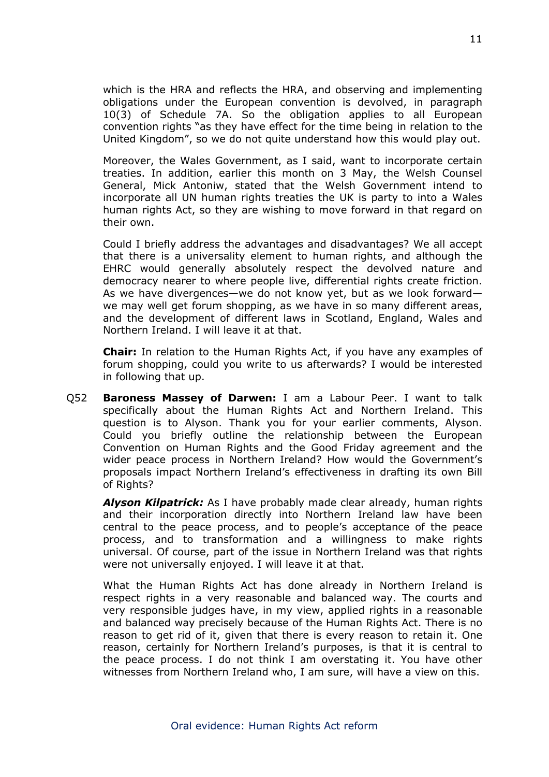which is the HRA and reflects the HRA, and observing and implementing obligations under the European convention is devolved, in paragraph 10(3) of Schedule 7A. So the obligation applies to all European convention rights "as they have effect for the time being in relation to the United Kingdom", so we do not quite understand how this would play out.

Moreover, the Wales Government, as I said, want to incorporate certain treaties. In addition, earlier this month on 3 May, the Welsh Counsel General, Mick Antoniw, stated that the Welsh Government intend to incorporate all UN human rights treaties the UK is party to into a Wales human rights Act, so they are wishing to move forward in that regard on their own.

Could I briefly address the advantages and disadvantages? We all accept that there is a universality element to human rights, and although the EHRC would generally absolutely respect the devolved nature and democracy nearer to where people live, differential rights create friction. As we have divergences—we do not know yet, but as we look forward we may well get forum shopping, as we have in so many different areas, and the development of different laws in Scotland, England, Wales and Northern Ireland. I will leave it at that.

**Chair:** In relation to the Human Rights Act, if you have any examples of forum shopping, could you write to us afterwards? I would be interested in following that up.

Q52 **Baroness Massey of Darwen:** I am a Labour Peer. I want to talk specifically about the Human Rights Act and Northern Ireland. This question is to Alyson. Thank you for your earlier comments, Alyson. Could you briefly outline the relationship between the European Convention on Human Rights and the Good Friday agreement and the wider peace process in Northern Ireland? How would the Government's proposals impact Northern Ireland's effectiveness in drafting its own Bill of Rights?

*Alyson Kilpatrick:* As I have probably made clear already, human rights and their incorporation directly into Northern Ireland law have been central to the peace process, and to people's acceptance of the peace process, and to transformation and a willingness to make rights universal. Of course, part of the issue in Northern Ireland was that rights were not universally enjoyed. I will leave it at that.

What the Human Rights Act has done already in Northern Ireland is respect rights in a very reasonable and balanced way. The courts and very responsible judges have, in my view, applied rights in a reasonable and balanced way precisely because of the Human Rights Act. There is no reason to get rid of it, given that there is every reason to retain it. One reason, certainly for Northern Ireland's purposes, is that it is central to the peace process. I do not think I am overstating it. You have other witnesses from Northern Ireland who, I am sure, will have a view on this.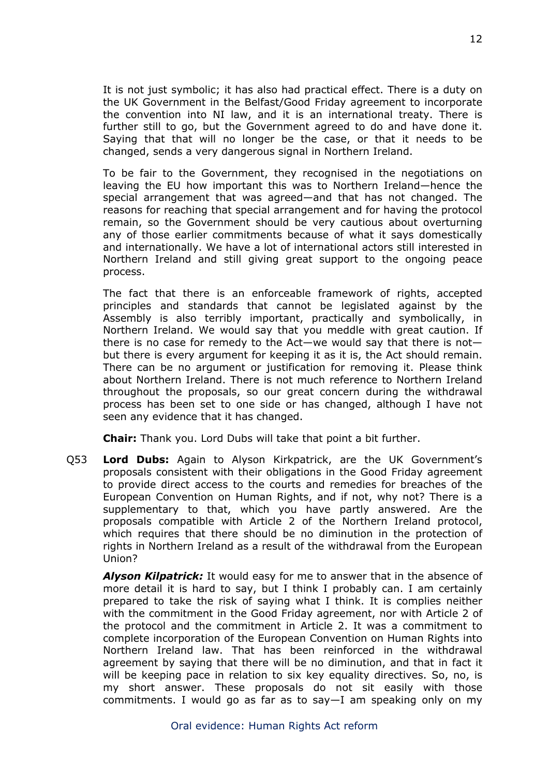It is not just symbolic; it has also had practical effect. There is a duty on the UK Government in the Belfast/Good Friday agreement to incorporate the convention into NI law, and it is an international treaty. There is further still to go, but the Government agreed to do and have done it. Saying that that will no longer be the case, or that it needs to be changed, sends a very dangerous signal in Northern Ireland.

To be fair to the Government, they recognised in the negotiations on leaving the EU how important this was to Northern Ireland—hence the special arrangement that was agreed—and that has not changed. The reasons for reaching that special arrangement and for having the protocol remain, so the Government should be very cautious about overturning any of those earlier commitments because of what it says domestically and internationally. We have a lot of international actors still interested in Northern Ireland and still giving great support to the ongoing peace process.

The fact that there is an enforceable framework of rights, accepted principles and standards that cannot be legislated against by the Assembly is also terribly important, practically and symbolically, in Northern Ireland. We would say that you meddle with great caution. If there is no case for remedy to the Act—we would say that there is not but there is every argument for keeping it as it is, the Act should remain. There can be no argument or justification for removing it. Please think about Northern Ireland. There is not much reference to Northern Ireland throughout the proposals, so our great concern during the withdrawal process has been set to one side or has changed, although I have not seen any evidence that it has changed.

**Chair:** Thank you. Lord Dubs will take that point a bit further.

Q53 **Lord Dubs:** Again to Alyson Kirkpatrick, are the UK Government's proposals consistent with their obligations in the Good Friday agreement to provide direct access to the courts and remedies for breaches of the European Convention on Human Rights, and if not, why not? There is a supplementary to that, which you have partly answered. Are the proposals compatible with Article 2 of the Northern Ireland protocol, which requires that there should be no diminution in the protection of rights in Northern Ireland as a result of the withdrawal from the European Union?

*Alyson Kilpatrick:* It would easy for me to answer that in the absence of more detail it is hard to say, but I think I probably can. I am certainly prepared to take the risk of saying what I think. It is complies neither with the commitment in the Good Friday agreement, nor with Article 2 of the protocol and the commitment in Article 2. It was a commitment to complete incorporation of the European Convention on Human Rights into Northern Ireland law. That has been reinforced in the withdrawal agreement by saying that there will be no diminution, and that in fact it will be keeping pace in relation to six key equality directives. So, no, is my short answer. These proposals do not sit easily with those commitments. I would go as far as to say—I am speaking only on my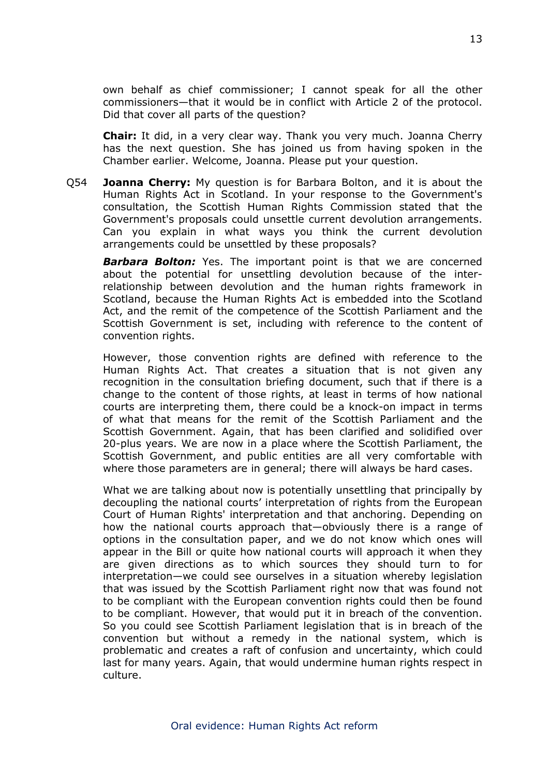own behalf as chief commissioner; I cannot speak for all the other commissioners—that it would be in conflict with Article 2 of the protocol. Did that cover all parts of the question?

**Chair:** It did, in a very clear way. Thank you very much. Joanna Cherry has the next question. She has joined us from having spoken in the Chamber earlier. Welcome, Joanna. Please put your question.

Q54 **Joanna Cherry:** My question is for Barbara Bolton, and it is about the Human Rights Act in Scotland. In your response to the Government's consultation, the Scottish Human Rights Commission stated that the Government's proposals could unsettle current devolution arrangements. Can you explain in what ways you think the current devolution arrangements could be unsettled by these proposals?

*Barbara Bolton:* Yes. The important point is that we are concerned about the potential for unsettling devolution because of the interrelationship between devolution and the human rights framework in Scotland, because the Human Rights Act is embedded into the Scotland Act, and the remit of the competence of the Scottish Parliament and the Scottish Government is set, including with reference to the content of convention rights.

However, those convention rights are defined with reference to the Human Rights Act. That creates a situation that is not given any recognition in the consultation briefing document, such that if there is a change to the content of those rights, at least in terms of how national courts are interpreting them, there could be a knock-on impact in terms of what that means for the remit of the Scottish Parliament and the Scottish Government. Again, that has been clarified and solidified over 20-plus years. We are now in a place where the Scottish Parliament, the Scottish Government, and public entities are all very comfortable with where those parameters are in general; there will always be hard cases.

What we are talking about now is potentially unsettling that principally by decoupling the national courts' interpretation of rights from the European Court of Human Rights' interpretation and that anchoring. Depending on how the national courts approach that—obviously there is a range of options in the consultation paper, and we do not know which ones will appear in the Bill or quite how national courts will approach it when they are given directions as to which sources they should turn to for interpretation—we could see ourselves in a situation whereby legislation that was issued by the Scottish Parliament right now that was found not to be compliant with the European convention rights could then be found to be compliant. However, that would put it in breach of the convention. So you could see Scottish Parliament legislation that is in breach of the convention but without a remedy in the national system, which is problematic and creates a raft of confusion and uncertainty, which could last for many years. Again, that would undermine human rights respect in culture.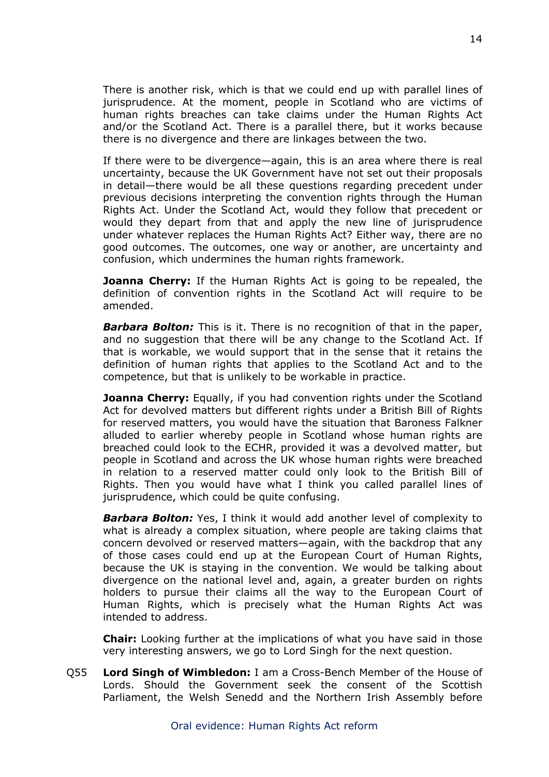There is another risk, which is that we could end up with parallel lines of jurisprudence. At the moment, people in Scotland who are victims of human rights breaches can take claims under the Human Rights Act and/or the Scotland Act. There is a parallel there, but it works because there is no divergence and there are linkages between the two.

If there were to be divergence—again, this is an area where there is real uncertainty, because the UK Government have not set out their proposals in detail—there would be all these questions regarding precedent under previous decisions interpreting the convention rights through the Human Rights Act. Under the Scotland Act, would they follow that precedent or would they depart from that and apply the new line of jurisprudence under whatever replaces the Human Rights Act? Either way, there are no good outcomes. The outcomes, one way or another, are uncertainty and confusion, which undermines the human rights framework.

**Joanna Cherry:** If the Human Rights Act is going to be repealed, the definition of convention rights in the Scotland Act will require to be amended.

*Barbara Bolton:* This is it. There is no recognition of that in the paper, and no suggestion that there will be any change to the Scotland Act. If that is workable, we would support that in the sense that it retains the definition of human rights that applies to the Scotland Act and to the competence, but that is unlikely to be workable in practice.

**Joanna Cherry:** Equally, if you had convention rights under the Scotland Act for devolved matters but different rights under a British Bill of Rights for reserved matters, you would have the situation that Baroness Falkner alluded to earlier whereby people in Scotland whose human rights are breached could look to the ECHR, provided it was a devolved matter, but people in Scotland and across the UK whose human rights were breached in relation to a reserved matter could only look to the British Bill of Rights. Then you would have what I think you called parallel lines of jurisprudence, which could be quite confusing.

*Barbara Bolton:* Yes, I think it would add another level of complexity to what is already a complex situation, where people are taking claims that concern devolved or reserved matters—again, with the backdrop that any of those cases could end up at the European Court of Human Rights, because the UK is staying in the convention. We would be talking about divergence on the national level and, again, a greater burden on rights holders to pursue their claims all the way to the European Court of Human Rights, which is precisely what the Human Rights Act was intended to address.

**Chair:** Looking further at the implications of what you have said in those very interesting answers, we go to Lord Singh for the next question.

Q55 **Lord Singh of Wimbledon:** I am a Cross-Bench Member of the House of Lords. Should the Government seek the consent of the Scottish Parliament, the Welsh Senedd and the Northern Irish Assembly before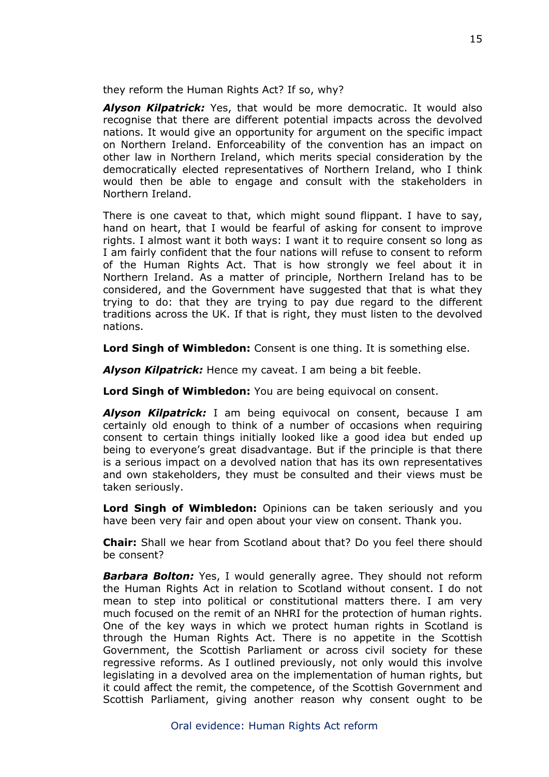they reform the Human Rights Act? If so, why?

*Alyson Kilpatrick:* Yes, that would be more democratic. It would also recognise that there are different potential impacts across the devolved nations. It would give an opportunity for argument on the specific impact on Northern Ireland. Enforceability of the convention has an impact on other law in Northern Ireland, which merits special consideration by the democratically elected representatives of Northern Ireland, who I think would then be able to engage and consult with the stakeholders in Northern Ireland.

There is one caveat to that, which might sound flippant. I have to say, hand on heart, that I would be fearful of asking for consent to improve rights. I almost want it both ways: I want it to require consent so long as I am fairly confident that the four nations will refuse to consent to reform of the Human Rights Act. That is how strongly we feel about it in Northern Ireland. As a matter of principle, Northern Ireland has to be considered, and the Government have suggested that that is what they trying to do: that they are trying to pay due regard to the different traditions across the UK. If that is right, they must listen to the devolved nations.

**Lord Singh of Wimbledon:** Consent is one thing. It is something else.

*Alyson Kilpatrick:* Hence my caveat. I am being a bit feeble.

**Lord Singh of Wimbledon:** You are being equivocal on consent.

*Alyson Kilpatrick:* I am being equivocal on consent, because I am certainly old enough to think of a number of occasions when requiring consent to certain things initially looked like a good idea but ended up being to everyone's great disadvantage. But if the principle is that there is a serious impact on a devolved nation that has its own representatives and own stakeholders, they must be consulted and their views must be taken seriously.

**Lord Singh of Wimbledon:** Opinions can be taken seriously and you have been very fair and open about your view on consent. Thank you.

**Chair:** Shall we hear from Scotland about that? Do you feel there should be consent?

*Barbara Bolton:* Yes, I would generally agree. They should not reform the Human Rights Act in relation to Scotland without consent. I do not mean to step into political or constitutional matters there. I am very much focused on the remit of an NHRI for the protection of human rights. One of the key ways in which we protect human rights in Scotland is through the Human Rights Act. There is no appetite in the Scottish Government, the Scottish Parliament or across civil society for these regressive reforms. As I outlined previously, not only would this involve legislating in a devolved area on the implementation of human rights, but it could affect the remit, the competence, of the Scottish Government and Scottish Parliament, giving another reason why consent ought to be